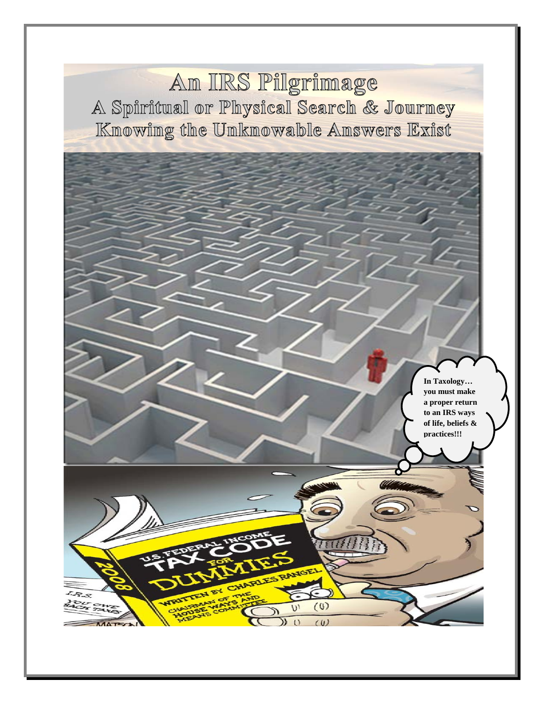Am IIRS Pilgrimage A Spiritual or Physical Search & Journey Knowing the Unknowable Answers Exist

> **In Taxology… you must make a proper return to an IRS ways of life, beliefs & practices!!!**

 $(0)$  $(U)$